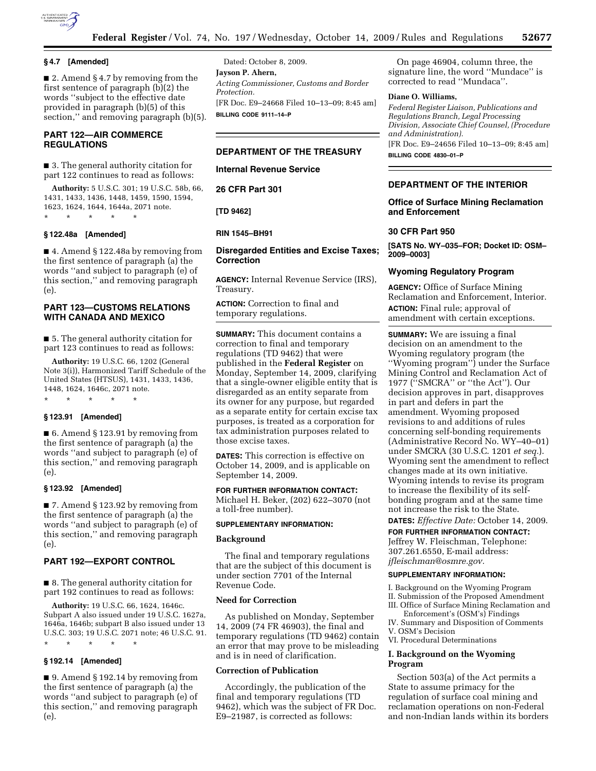

# **§ 4.7 [Amended]**

■ 2. Amend § 4.7 by removing from the first sentence of paragraph (b)(2) the words ''subject to the effective date provided in paragraph (b)(5) of this section," and removing paragraph (b)(5).

### **PART 122—AIR COMMERCE REGULATIONS**

■ 3. The general authority citation for part 122 continues to read as follows:

**Authority:** 5 U.S.C. 301; 19 U.S.C. 58b, 66, 1431, 1433, 1436, 1448, 1459, 1590, 1594, 1623, 1624, 1644, 1644a, 2071 note. \* \* \* \* \*

### **§ 122.48a [Amended]**

■ 4. Amend § 122.48a by removing from the first sentence of paragraph (a) the words ''and subject to paragraph (e) of this section,'' and removing paragraph (e).

# **PART 123—CUSTOMS RELATIONS WITH CANADA AND MEXICO**

■ 5. The general authority citation for part 123 continues to read as follows:

**Authority:** 19 U.S.C. 66, 1202 (General Note 3(i)), Harmonized Tariff Schedule of the United States (HTSUS), 1431, 1433, 1436, 1448, 1624, 1646c, 2071 note.

\* \* \* \* \*

# **§ 123.91 [Amended]**

■ 6. Amend § 123.91 by removing from the first sentence of paragraph (a) the words ''and subject to paragraph (e) of this section,'' and removing paragraph (e).

# **§ 123.92 [Amended]**

■ 7. Amend § 123.92 by removing from the first sentence of paragraph (a) the words ''and subject to paragraph (e) of this section,'' and removing paragraph (e).

# **PART 192—EXPORT CONTROL**

■ 8. The general authority citation for part 192 continues to read as follows:

**Authority:** 19 U.S.C. 66, 1624, 1646c. Subpart A also issued under 19 U.S.C. 1627a, 1646a, 1646b; subpart B also issued under 13 U.S.C. 303; 19 U.S.C. 2071 note; 46 U.S.C. 91. \* \* \* \* \*

### **§ 192.14 [Amended]**

■ 9. Amend § 192.14 by removing from the first sentence of paragraph (a) the words ''and subject to paragraph (e) of this section,'' and removing paragraph (e).

Dated: October 8, 2009. **Jayson P. Ahern,**  *Acting Commissioner, Customs and Border Protection.*  [FR Doc. E9–24668 Filed 10–13–09; 8:45 am] **BILLING CODE 9111–14–P** 

# **DEPARTMENT OF THE TREASURY**

**Internal Revenue Service** 

**26 CFR Part 301** 

**[TD 9462]** 

#### **RIN 1545–BH91**

#### **Disregarded Entities and Excise Taxes; Correction**

**AGENCY:** Internal Revenue Service (IRS), Treasury.

**ACTION:** Correction to final and temporary regulations.

**SUMMARY:** This document contains a correction to final and temporary regulations (TD 9462) that were published in the **Federal Register** on Monday, September 14, 2009, clarifying that a single-owner eligible entity that is disregarded as an entity separate from its owner for any purpose, but regarded as a separate entity for certain excise tax purposes, is treated as a corporation for tax administration purposes related to those excise taxes.

**DATES:** This correction is effective on October 14, 2009, and is applicable on September 14, 2009.

# **FOR FURTHER INFORMATION CONTACT:**

Michael H. Beker, (202) 622–3070 (not a toll-free number).

#### **SUPPLEMENTARY INFORMATION:**

# **Background**

The final and temporary regulations that are the subject of this document is under section 7701 of the Internal Revenue Code.

# **Need for Correction**

As published on Monday, September 14, 2009 (74 FR 46903), the final and temporary regulations (TD 9462) contain an error that may prove to be misleading and is in need of clarification.

#### **Correction of Publication**

Accordingly, the publication of the final and temporary regulations (TD 9462), which was the subject of FR Doc. E9–21987, is corrected as follows:

On page 46904, column three, the signature line, the word ''Mundace'' is corrected to read ''Mundaca''.

#### **Diane O. Williams,**

*Federal Register Liaison, Publications and Regulations Branch, Legal Processing Division, Associate Chief Counsel, (Procedure and Administration).*  [FR Doc. E9–24656 Filed 10–13–09; 8:45 am]

**BILLING CODE 4830–01–P** 

#### **DEPARTMENT OF THE INTERIOR**

### **Office of Surface Mining Reclamation and Enforcement**

#### **30 CFR Part 950**

**[SATS No. WY–035–FOR; Docket ID: OSM– 2009–0003]** 

### **Wyoming Regulatory Program**

**AGENCY:** Office of Surface Mining Reclamation and Enforcement, Interior. **ACTION:** Final rule; approval of amendment with certain exceptions.

**SUMMARY:** We are issuing a final decision on an amendment to the Wyoming regulatory program (the ''Wyoming program'') under the Surface Mining Control and Reclamation Act of 1977 (''SMCRA'' or ''the Act''). Our decision approves in part, disapproves in part and defers in part the amendment. Wyoming proposed revisions to and additions of rules concerning self-bonding requirements (Administrative Record No. WY–40–01) under SMCRA (30 U.S.C. 1201 *et seq.*). Wyoming sent the amendment to reflect changes made at its own initiative. Wyoming intends to revise its program to increase the flexibility of its selfbonding program and at the same time not increase the risk to the State.

**DATES:** *Effective Date:* October 14, 2009.

### **FOR FURTHER INFORMATION CONTACT:**

Jeffrey W. Fleischman, Telephone: 307.261.6550, E-mail address: *jfleischman@osmre.gov.* 

#### **SUPPLEMENTARY INFORMATION:**

I. Background on the Wyoming Program

- II. Submission of the Proposed Amendment III. Office of Surface Mining Reclamation and
- Enforcement's (OSM's) Findings
- IV. Summary and Disposition of Comments V. OSM's Decision
- VI. Procedural Determinations

# **I. Background on the Wyoming Program**

Section 503(a) of the Act permits a State to assume primacy for the regulation of surface coal mining and reclamation operations on non-Federal and non-Indian lands within its borders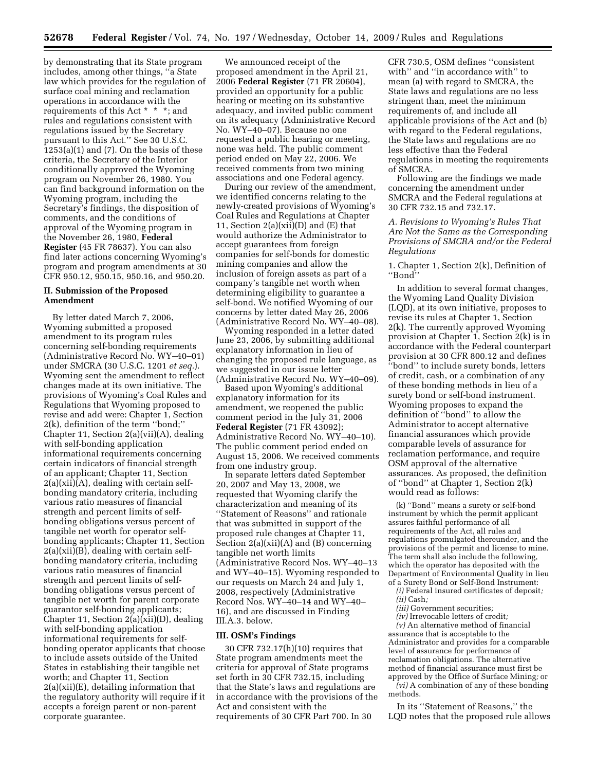by demonstrating that its State program includes, among other things, ''a State law which provides for the regulation of surface coal mining and reclamation operations in accordance with the requirements of this Act \* \* \*; and rules and regulations consistent with regulations issued by the Secretary pursuant to this Act.'' See 30 U.S.C. 1253(a)(1) and (7). On the basis of these criteria, the Secretary of the Interior conditionally approved the Wyoming program on November 26, 1980. You can find background information on the Wyoming program, including the Secretary's findings, the disposition of comments, and the conditions of approval of the Wyoming program in the November 26, 1980, **Federal Register** (45 FR 78637). You can also find later actions concerning Wyoming's program and program amendments at 30 CFR 950.12, 950.15, 950.16, and 950.20.

#### **II. Submission of the Proposed Amendment**

By letter dated March 7, 2006, Wyoming submitted a proposed amendment to its program rules concerning self-bonding requirements (Administrative Record No. WY–40–01) under SMCRA (30 U.S.C. 1201 *et seq.*). Wyoming sent the amendment to reflect changes made at its own initiative. The provisions of Wyoming's Coal Rules and Regulations that Wyoming proposed to revise and add were: Chapter 1, Section 2(k), definition of the term ''bond;'' Chapter 11, Section 2(a)(vii)(A), dealing with self-bonding application informational requirements concerning certain indicators of financial strength of an applicant; Chapter 11, Section  $2(a)(xii)(A)$ , dealing with certain selfbonding mandatory criteria, including various ratio measures of financial strength and percent limits of selfbonding obligations versus percent of tangible net worth for operator selfbonding applicants; Chapter 11, Section 2(a)(xii)(B), dealing with certain selfbonding mandatory criteria, including various ratio measures of financial strength and percent limits of selfbonding obligations versus percent of tangible net worth for parent corporate guarantor self-bonding applicants; Chapter 11, Section 2(a)(xii)(D), dealing with self-bonding application informational requirements for selfbonding operator applicants that choose to include assets outside of the United States in establishing their tangible net worth; and Chapter 11, Section 2(a)(xii)(E), detailing information that the regulatory authority will require if it accepts a foreign parent or non-parent corporate guarantee.

We announced receipt of the proposed amendment in the April 21, 2006 **Federal Register** (71 FR 20604), provided an opportunity for a public hearing or meeting on its substantive adequacy, and invited public comment on its adequacy (Administrative Record No. WY–40–07). Because no one requested a public hearing or meeting, none was held. The public comment period ended on May 22, 2006. We received comments from two mining associations and one Federal agency.

During our review of the amendment, we identified concerns relating to the newly-created provisions of Wyoming's Coal Rules and Regulations at Chapter 11, Section  $2(a)(xii)(D)$  and  $(E)$  that would authorize the Administrator to accept guarantees from foreign companies for self-bonds for domestic mining companies and allow the inclusion of foreign assets as part of a company's tangible net worth when determining eligibility to guarantee a self-bond. We notified Wyoming of our concerns by letter dated May 26, 2006 (Administrative Record No. WY–40–08).

Wyoming responded in a letter dated June 23, 2006, by submitting additional explanatory information in lieu of changing the proposed rule language, as we suggested in our issue letter (Administrative Record No. WY–40–09).

Based upon Wyoming's additional explanatory information for its amendment, we reopened the public comment period in the July 31, 2006 **Federal Register** (71 FR 43092); Administrative Record No. WY–40–10). The public comment period ended on August 15, 2006. We received comments from one industry group.

In separate letters dated September 20, 2007 and May 13, 2008, we requested that Wyoming clarify the characterization and meaning of its ''Statement of Reasons'' and rationale that was submitted in support of the proposed rule changes at Chapter 11, Section 2(a)(xii)(A) and (B) concerning tangible net worth limits (Administrative Record Nos. WY–40–13 and WY–40–15). Wyoming responded to our requests on March 24 and July 1, 2008, respectively (Administrative Record Nos. WY–40–14 and WY–40– 16), and are discussed in Finding III.A.3. below.

### **III. OSM's Findings**

30 CFR 732.17(h)(10) requires that State program amendments meet the criteria for approval of State programs set forth in 30 CFR 732.15, including that the State's laws and regulations are in accordance with the provisions of the Act and consistent with the requirements of 30 CFR Part 700. In 30

CFR 730.5, OSM defines ''consistent with'' and ''in accordance with'' to mean (a) with regard to SMCRA, the State laws and regulations are no less stringent than, meet the minimum requirements of, and include all applicable provisions of the Act and (b) with regard to the Federal regulations, the State laws and regulations are no less effective than the Federal regulations in meeting the requirements of SMCRA.

Following are the findings we made concerning the amendment under SMCRA and the Federal regulations at 30 CFR 732.15 and 732.17.

# *A. Revisions to Wyoming's Rules That Are Not the Same as the Corresponding Provisions of SMCRA and/or the Federal Regulations*

1. Chapter 1, Section 2(k), Definition of ''Bond''

In addition to several format changes, the Wyoming Land Quality Division (LQD), at its own initiative, proposes to revise its rules at Chapter 1, Section 2(k). The currently approved Wyoming provision at Chapter 1, Section 2(k) is in accordance with the Federal counterpart provision at 30 CFR 800.12 and defines ''bond'' to include surety bonds, letters of credit, cash, or a combination of any of these bonding methods in lieu of a surety bond or self-bond instrument. Wyoming proposes to expand the definition of ''bond'' to allow the Administrator to accept alternative financial assurances which provide comparable levels of assurance for reclamation performance, and require OSM approval of the alternative assurances. As proposed, the definition of ''bond'' at Chapter 1, Section 2(k) would read as follows:

(k) ''Bond'' means a surety or self-bond instrument by which the permit applicant assures faithful performance of all requirements of the Act, all rules and regulations promulgated thereunder, and the provisions of the permit and license to mine. The term shall also include the following, which the operator has deposited with the Department of Environmental Quality in lieu of a Surety Bond or Self-Bond Instrument:

- *(i)* Federal insured certificates of deposit*; (ii)* Cash*;*
- *(iii)* Government securities*;*
- *(iv)* Irrevocable letters of credit*;*

*(v)* An alternative method of financial assurance that is acceptable to the Administrator and provides for a comparable level of assurance for performance of reclamation obligations. The alternative method of financial assurance must first be approved by the Office of Surface Mining*;* or

*(vi)* A combination of any of these bonding methods.

In its ''Statement of Reasons,'' the LQD notes that the proposed rule allows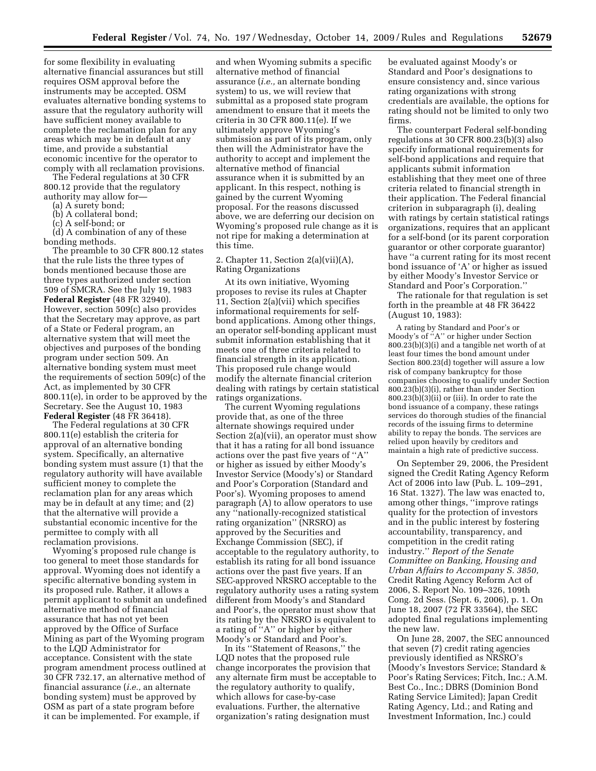for some flexibility in evaluating alternative financial assurances but still requires OSM approval before the instruments may be accepted. OSM evaluates alternative bonding systems to assure that the regulatory authority will have sufficient money available to complete the reclamation plan for any areas which may be in default at any time, and provide a substantial economic incentive for the operator to comply with all reclamation provisions.

The Federal regulations at 30 CFR 800.12 provide that the regulatory authority may allow for—

(a) A surety bond;

(b) A collateral bond;

(c) A self-bond; or

(d) A combination of any of these bonding methods.

The preamble to 30 CFR 800.12 states that the rule lists the three types of bonds mentioned because those are three types authorized under section 509 of SMCRA. See the July 19, 1983 **Federal Register** (48 FR 32940). However, section 509(c) also provides that the Secretary may approve, as part of a State or Federal program, an alternative system that will meet the objectives and purposes of the bonding program under section 509. An alternative bonding system must meet the requirements of section 509(c) of the Act, as implemented by 30 CFR 800.11(e), in order to be approved by the Secretary. See the August 10, 1983 **Federal Register** (48 FR 36418).

The Federal regulations at 30 CFR 800.11(e) establish the criteria for approval of an alternative bonding system. Specifically, an alternative bonding system must assure (1) that the regulatory authority will have available sufficient money to complete the reclamation plan for any areas which may be in default at any time; and (2) that the alternative will provide a substantial economic incentive for the permittee to comply with all reclamation provisions.

Wyoming's proposed rule change is too general to meet those standards for approval. Wyoming does not identify a specific alternative bonding system in its proposed rule. Rather, it allows a permit applicant to submit an undefined alternative method of financial assurance that has not yet been approved by the Office of Surface Mining as part of the Wyoming program to the LQD Administrator for acceptance. Consistent with the state program amendment process outlined at 30 CFR 732.17, an alternative method of financial assurance (*i.e.,* an alternate bonding system) must be approved by OSM as part of a state program before it can be implemented. For example, if

and when Wyoming submits a specific alternative method of financial assurance (*i.e.,* an alternate bonding system) to us, we will review that submittal as a proposed state program amendment to ensure that it meets the criteria in 30 CFR 800.11(e). If we ultimately approve Wyoming's submission as part of its program, only then will the Administrator have the authority to accept and implement the alternative method of financial assurance when it is submitted by an applicant. In this respect, nothing is gained by the current Wyoming proposal. For the reasons discussed above, we are deferring our decision on Wyoming's proposed rule change as it is not ripe for making a determination at this time.

### 2. Chapter 11, Section 2(a)(vii)(A), Rating Organizations

At its own initiative, Wyoming proposes to revise its rules at Chapter 11, Section 2(a)(vii) which specifies informational requirements for selfbond applications. Among other things, an operator self-bonding applicant must submit information establishing that it meets one of three criteria related to financial strength in its application. This proposed rule change would modify the alternate financial criterion dealing with ratings by certain statistical ratings organizations.

The current Wyoming regulations provide that, as one of the three alternate showings required under Section 2(a)(vii), an operator must show that it has a rating for all bond issuance actions over the past five years of ''A'' or higher as issued by either Moody's Investor Service (Moody's) or Standard and Poor's Corporation (Standard and Poor's). Wyoming proposes to amend paragraph (A) to allow operators to use any ''nationally-recognized statistical rating organization'' (NRSRO) as approved by the Securities and Exchange Commission (SEC), if acceptable to the regulatory authority, to establish its rating for all bond issuance actions over the past five years. If an SEC-approved NRSRO acceptable to the regulatory authority uses a rating system different from Moody's and Standard and Poor's, the operator must show that its rating by the NRSRO is equivalent to a rating of ''A'' or higher by either Moody's or Standard and Poor's.

In its ''Statement of Reasons,'' the LQD notes that the proposed rule change incorporates the provision that any alternate firm must be acceptable to the regulatory authority to qualify, which allows for case-by-case evaluations. Further, the alternative organization's rating designation must

be evaluated against Moody's or Standard and Poor's designations to ensure consistency and, since various rating organizations with strong credentials are available, the options for rating should not be limited to only two firms.

The counterpart Federal self-bonding regulations at 30 CFR 800.23(b)(3) also specify informational requirements for self-bond applications and require that applicants submit information establishing that they meet one of three criteria related to financial strength in their application. The Federal financial criterion in subparagraph (i), dealing with ratings by certain statistical ratings organizations, requires that an applicant for a self-bond (or its parent corporation guarantor or other corporate guarantor) have ''a current rating for its most recent bond issuance of 'A' or higher as issued by either Moody's Investor Service or Standard and Poor's Corporation.''

The rationale for that regulation is set forth in the preamble at 48 FR 36422 (August 10, 1983):

A rating by Standard and Poor's or Moody's of ''A'' or higher under Section 800.23(b)(3)(i) and a tangible net worth of at least four times the bond amount under Section 800.23(d) together will assure a low risk of company bankruptcy for those companies choosing to qualify under Section 800.23(b)(3)(i), rather than under Section 800.23(b)(3)(ii) or (iii). In order to rate the bond issuance of a company, these ratings services do thorough studies of the financial records of the issuing firms to determine ability to repay the bonds. The services are relied upon heavily by creditors and maintain a high rate of predictive success.

On September 29, 2006, the President signed the Credit Rating Agency Reform Act of 2006 into law (Pub. L. 109–291, 16 Stat. 1327). The law was enacted to, among other things, ''improve ratings quality for the protection of investors and in the public interest by fostering accountability, transparency, and competition in the credit rating industry.'' *Report of the Senate Committee on Banking, Housing and Urban Affairs to Accompany S. 3850,*  Credit Rating Agency Reform Act of 2006, S. Report No. 109–326, 109th Cong. 2d Sess. (Sept. 6, 2006), p. 1. On June 18, 2007 (72 FR 33564), the SEC adopted final regulations implementing the new law.

On June 28, 2007, the SEC announced that seven (7) credit rating agencies previously identified as NRSRO's (Moody's Investors Service; Standard & Poor's Rating Services; Fitch, Inc.; A.M. Best Co., Inc.; DBRS (Dominion Bond Rating Service Limited); Japan Credit Rating Agency, Ltd.; and Rating and Investment Information, Inc.) could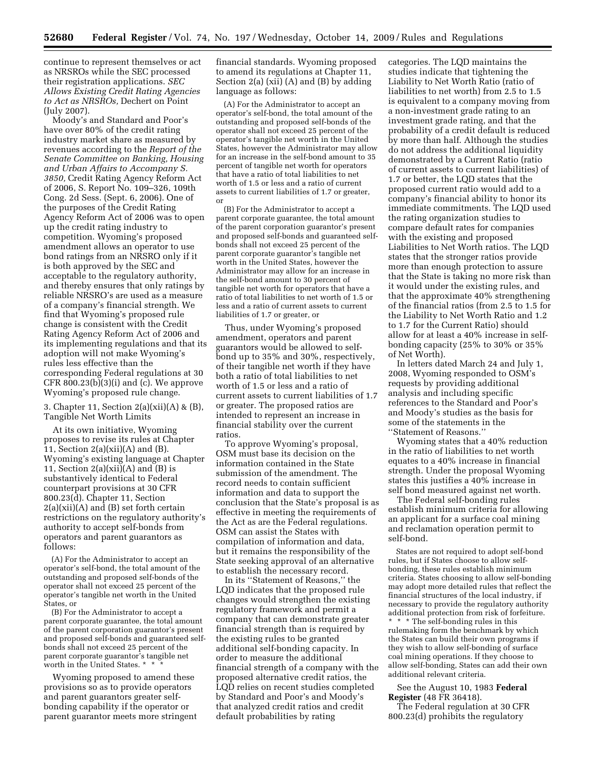continue to represent themselves or act as NRSROs while the SEC processed their registration applications. *SEC Allows Existing Credit Rating Agencies to Act as NRSROs,* Dechert on Point (July 2007).

Moody's and Standard and Poor's have over 80% of the credit rating industry market share as measured by revenues according to the *Report of the Senate Committee on Banking, Housing and Urban Affairs to Accompany S. 3850,* Credit Rating Agency Reform Act of 2006, S. Report No. 109–326, 109th Cong. 2d Sess. (Sept. 6, 2006). One of the purposes of the Credit Rating Agency Reform Act of 2006 was to open up the credit rating industry to competition. Wyoming's proposed amendment allows an operator to use bond ratings from an NRSRO only if it is both approved by the SEC and acceptable to the regulatory authority, and thereby ensures that only ratings by reliable NRSRO's are used as a measure of a company's financial strength. We find that Wyoming's proposed rule change is consistent with the Credit Rating Agency Reform Act of 2006 and its implementing regulations and that its adoption will not make Wyoming's rules less effective than the corresponding Federal regulations at 30 CFR 800.23(b)(3)(i) and (c). We approve Wyoming's proposed rule change.

3. Chapter 11, Section  $2(a)(xii)(A)$  &  $(B)$ , Tangible Net Worth Limits

At its own initiative, Wyoming proposes to revise its rules at Chapter 11, Section  $2(a)(xii)(A)$  and  $(B)$ . Wyoming's existing language at Chapter 11, Section  $2(a)(xii)(A)$  and  $(B)$  is substantively identical to Federal counterpart provisions at 30 CFR 800.23(d). Chapter 11, Section  $2(a)(xii)(A)$  and  $(B)$  set forth certain restrictions on the regulatory authority's authority to accept self-bonds from operators and parent guarantors as follows:

(A) For the Administrator to accept an operator's self-bond, the total amount of the outstanding and proposed self-bonds of the operator shall not exceed 25 percent of the operator's tangible net worth in the United States, or

(B) For the Administrator to accept a parent corporate guarantee, the total amount of the parent corporation guarantor's present and proposed self-bonds and guaranteed selfbonds shall not exceed 25 percent of the parent corporate guarantor's tangible net worth in the United States.  $*$ 

Wyoming proposed to amend these provisions so as to provide operators and parent guarantors greater selfbonding capability if the operator or parent guarantor meets more stringent financial standards. Wyoming proposed to amend its regulations at Chapter 11, Section 2(a) (xii) (A) and (B) by adding language as follows:

(A) For the Administrator to accept an operator's self-bond, the total amount of the outstanding and proposed self-bonds of the operator shall not exceed 25 percent of the operator's tangible net worth in the United States, however the Administrator may allow for an increase in the self-bond amount to 35 percent of tangible net worth for operators that have a ratio of total liabilities to net worth of 1.5 or less and a ratio of current assets to current liabilities of 1.7 or greater, or

(B) For the Administrator to accept a parent corporate guarantee, the total amount of the parent corporation guarantor's present and proposed self-bonds and guaranteed selfbonds shall not exceed 25 percent of the parent corporate guarantor's tangible net worth in the United States, however the Administrator may allow for an increase in the self-bond amount to 30 percent of tangible net worth for operators that have a ratio of total liabilities to net worth of 1.5 or less and a ratio of current assets to current liabilities of 1.7 or greater, or

Thus, under Wyoming's proposed amendment, operators and parent guarantors would be allowed to selfbond up to 35% and 30%, respectively, of their tangible net worth if they have both a ratio of total liabilities to net worth of 1.5 or less and a ratio of current assets to current liabilities of 1.7 or greater. The proposed ratios are intended to represent an increase in financial stability over the current ratios.

To approve Wyoming's proposal, OSM must base its decision on the information contained in the State submission of the amendment. The record needs to contain sufficient information and data to support the conclusion that the State's proposal is as effective in meeting the requirements of the Act as are the Federal regulations. OSM can assist the States with compilation of information and data, but it remains the responsibility of the State seeking approval of an alternative to establish the necessary record.

In its ''Statement of Reasons,'' the LQD indicates that the proposed rule changes would strengthen the existing regulatory framework and permit a company that can demonstrate greater financial strength than is required by the existing rules to be granted additional self-bonding capacity. In order to measure the additional financial strength of a company with the proposed alternative credit ratios, the LQD relies on recent studies completed by Standard and Poor's and Moody's that analyzed credit ratios and credit default probabilities by rating

categories. The LQD maintains the studies indicate that tightening the Liability to Net Worth Ratio (ratio of liabilities to net worth) from 2.5 to 1.5 is equivalent to a company moving from a non-investment grade rating to an investment grade rating, and that the probability of a credit default is reduced by more than half. Although the studies do not address the additional liquidity demonstrated by a Current Ratio (ratio of current assets to current liabilities) of 1.7 or better, the LQD states that the proposed current ratio would add to a company's financial ability to honor its immediate commitments. The LQD used the rating organization studies to compare default rates for companies with the existing and proposed Liabilities to Net Worth ratios. The LQD states that the stronger ratios provide more than enough protection to assure that the State is taking no more risk than it would under the existing rules, and that the approximate 40% strengthening of the financial ratios (from 2.5 to 1.5 for the Liability to Net Worth Ratio and 1.2 to 1.7 for the Current Ratio) should allow for at least a 40% increase in selfbonding capacity (25% to 30% or 35% of Net Worth).

In letters dated March 24 and July 1, 2008, Wyoming responded to OSM's requests by providing additional analysis and including specific references to the Standard and Poor's and Moody's studies as the basis for some of the statements in the ''Statement of Reasons.''

Wyoming states that a 40% reduction in the ratio of liabilities to net worth equates to a 40% increase in financial strength. Under the proposal Wyoming states this justifies a 40% increase in self bond measured against net worth.

The Federal self-bonding rules establish minimum criteria for allowing an applicant for a surface coal mining and reclamation operation permit to self-bond.

States are not required to adopt self-bond rules, but if States choose to allow selfbonding, these rules establish minimum criteria. States choosing to allow self-bonding may adopt more detailed rules that reflect the financial structures of the local industry, if necessary to provide the regulatory authority additional protection from risk of forfeiture. \* \* \* The self-bonding rules in this rulemaking form the benchmark by which the States can build their own programs if they wish to allow self-bonding of surface coal mining operations. If they choose to allow self-bonding, States can add their own additional relevant criteria.

### See the August 10, 1983 **Federal Register** (48 FR 36418).

The Federal regulation at 30 CFR 800.23(d) prohibits the regulatory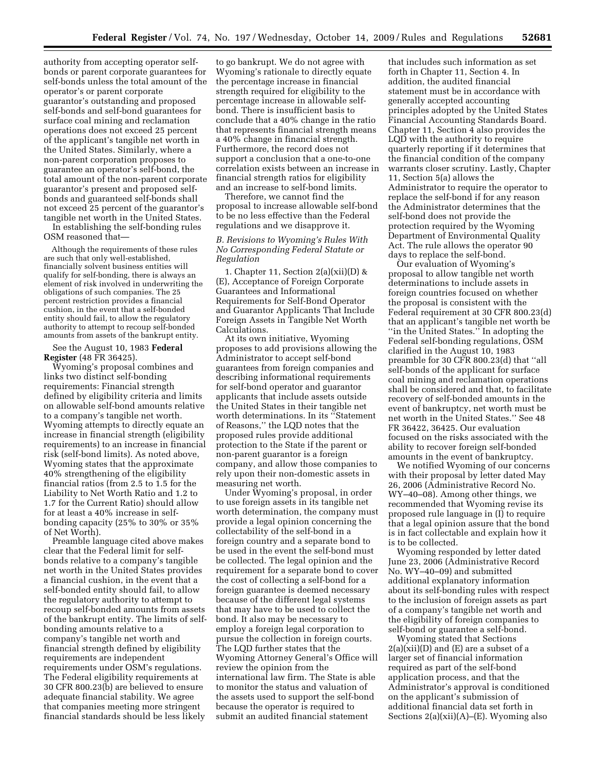authority from accepting operator selfbonds or parent corporate guarantees for self-bonds unless the total amount of the operator's or parent corporate guarantor's outstanding and proposed self-bonds and self-bond guarantees for surface coal mining and reclamation operations does not exceed 25 percent of the applicant's tangible net worth in the United States. Similarly, where a non-parent corporation proposes to guarantee an operator's self-bond, the total amount of the non-parent corporate guarantor's present and proposed selfbonds and guaranteed self-bonds shall not exceed 25 percent of the guarantor's tangible net worth in the United States. In establishing the self-bonding rules

OSM reasoned that—

Although the requirements of these rules are such that only well-established, financially solvent business entities will qualify for self-bonding, there is always an element of risk involved in underwriting the obligations of such companies. The 25 percent restriction provides a financial cushion, in the event that a self-bonded entity should fail, to allow the regulatory authority to attempt to recoup self-bonded amounts from assets of the bankrupt entity.

See the August 10, 1983 **Federal Register** (48 FR 36425).

Wyoming's proposal combines and links two distinct self-bonding requirements: Financial strength defined by eligibility criteria and limits on allowable self-bond amounts relative to a company's tangible net worth. Wyoming attempts to directly equate an increase in financial strength (eligibility requirements) to an increase in financial risk (self-bond limits). As noted above, Wyoming states that the approximate 40% strengthening of the eligibility financial ratios (from 2.5 to 1.5 for the Liability to Net Worth Ratio and 1.2 to 1.7 for the Current Ratio) should allow for at least a 40% increase in selfbonding capacity (25% to 30% or 35% of Net Worth).

Preamble language cited above makes clear that the Federal limit for selfbonds relative to a company's tangible net worth in the United States provides a financial cushion, in the event that a self-bonded entity should fail, to allow the regulatory authority to attempt to recoup self-bonded amounts from assets of the bankrupt entity. The limits of selfbonding amounts relative to a company's tangible net worth and financial strength defined by eligibility requirements are independent requirements under OSM's regulations. The Federal eligibility requirements at 30 CFR 800.23(b) are believed to ensure adequate financial stability. We agree that companies meeting more stringent financial standards should be less likely

to go bankrupt. We do not agree with Wyoming's rationale to directly equate the percentage increase in financial strength required for eligibility to the percentage increase in allowable selfbond. There is insufficient basis to conclude that a 40% change in the ratio that represents financial strength means a 40% change in financial strength. Furthermore, the record does not support a conclusion that a one-to-one correlation exists between an increase in financial strength ratios for eligibility and an increase to self-bond limits.

Therefore, we cannot find the proposal to increase allowable self-bond to be no less effective than the Federal regulations and we disapprove it.

### *B. Revisions to Wyoming's Rules With No Corresponding Federal Statute or Regulation*

1. Chapter 11, Section  $2(a)(xii)(D)$  & (E), Acceptance of Foreign Corporate Guarantees and Informational Requirements for Self-Bond Operator and Guarantor Applicants That Include Foreign Assets in Tangible Net Worth Calculations.

At its own initiative, Wyoming proposes to add provisions allowing the Administrator to accept self-bond guarantees from foreign companies and describing informational requirements for self-bond operator and guarantor applicants that include assets outside the United States in their tangible net worth determinations. In its ''Statement of Reasons,'' the LQD notes that the proposed rules provide additional protection to the State if the parent or non-parent guarantor is a foreign company, and allow those companies to rely upon their non-domestic assets in measuring net worth.

Under Wyoming's proposal, in order to use foreign assets in its tangible net worth determination, the company must provide a legal opinion concerning the collectability of the self-bond in a foreign country and a separate bond to be used in the event the self-bond must be collected. The legal opinion and the requirement for a separate bond to cover the cost of collecting a self-bond for a foreign guarantee is deemed necessary because of the different legal systems that may have to be used to collect the bond. It also may be necessary to employ a foreign legal corporation to pursue the collection in foreign courts. The LQD further states that the Wyoming Attorney General's Office will review the opinion from the international law firm. The State is able to monitor the status and valuation of the assets used to support the self-bond because the operator is required to submit an audited financial statement

that includes such information as set forth in Chapter 11, Section 4. In addition, the audited financial statement must be in accordance with generally accepted accounting principles adopted by the United States Financial Accounting Standards Board. Chapter 11, Section 4 also provides the LQD with the authority to require quarterly reporting if it determines that the financial condition of the company warrants closer scrutiny. Lastly, Chapter 11, Section 5(a) allows the Administrator to require the operator to replace the self-bond if for any reason the Administrator determines that the self-bond does not provide the protection required by the Wyoming Department of Environmental Quality Act. The rule allows the operator 90 days to replace the self-bond.

Our evaluation of Wyoming's proposal to allow tangible net worth determinations to include assets in foreign countries focused on whether the proposal is consistent with the Federal requirement at 30 CFR 800.23(d) that an applicant's tangible net worth be ''in the United States.'' In adopting the Federal self-bonding regulations, OSM clarified in the August 10, 1983 preamble for 30 CFR 800.23(d) that ''all self-bonds of the applicant for surface coal mining and reclamation operations shall be considered and that, to facilitate recovery of self-bonded amounts in the event of bankruptcy, net worth must be net worth in the United States.'' See 48 FR 36422, 36425. Our evaluation focused on the risks associated with the ability to recover foreign self-bonded amounts in the event of bankruptcy.

We notified Wyoming of our concerns with their proposal by letter dated May 26, 2006 (Administrative Record No. WY–40–08). Among other things, we recommended that Wyoming revise its proposed rule language in (I) to require that a legal opinion assure that the bond is in fact collectable and explain how it is to be collected.

Wyoming responded by letter dated June 23, 2006 (Administrative Record No. WY–40–09) and submitted additional explanatory information about its self-bonding rules with respect to the inclusion of foreign assets as part of a company's tangible net worth and the eligibility of foreign companies to self-bond or guarantee a self-bond.

Wyoming stated that Sections 2(a)(xii)(D) and (E) are a subset of a larger set of financial information required as part of the self-bond application process, and that the Administrator's approval is conditioned on the applicant's submission of additional financial data set forth in Sections  $2(a)(xii)(A)$ –(E). Wyoming also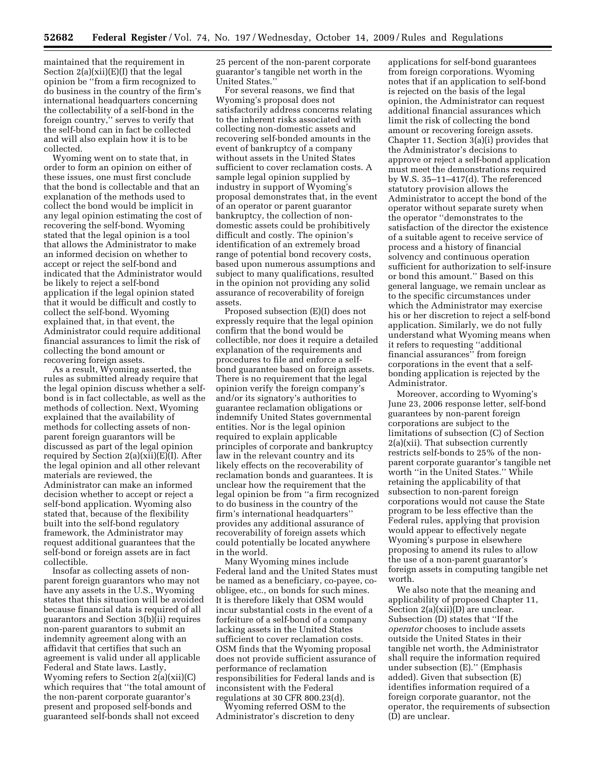maintained that the requirement in Section 2(a)(xii)(E)(I) that the legal opinion be ''from a firm recognized to do business in the country of the firm's international headquarters concerning the collectability of a self-bond in the foreign country,'' serves to verify that the self-bond can in fact be collected and will also explain how it is to be collected.

Wyoming went on to state that, in order to form an opinion on either of these issues, one must first conclude that the bond is collectable and that an explanation of the methods used to collect the bond would be implicit in any legal opinion estimating the cost of recovering the self-bond. Wyoming stated that the legal opinion is a tool that allows the Administrator to make an informed decision on whether to accept or reject the self-bond and indicated that the Administrator would be likely to reject a self-bond application if the legal opinion stated that it would be difficult and costly to collect the self-bond. Wyoming explained that, in that event, the Administrator could require additional financial assurances to limit the risk of collecting the bond amount or recovering foreign assets.

As a result, Wyoming asserted, the rules as submitted already require that the legal opinion discuss whether a selfbond is in fact collectable, as well as the methods of collection. Next, Wyoming explained that the availability of methods for collecting assets of nonparent foreign guarantors will be discussed as part of the legal opinion required by Section 2(a)(xii)(E)(I). After the legal opinion and all other relevant materials are reviewed, the Administrator can make an informed decision whether to accept or reject a self-bond application. Wyoming also stated that, because of the flexibility built into the self-bond regulatory framework, the Administrator may request additional guarantees that the self-bond or foreign assets are in fact collectible.

Insofar as collecting assets of nonparent foreign guarantors who may not have any assets in the U.S., Wyoming states that this situation will be avoided because financial data is required of all guarantors and Section 3(b)(ii) requires non-parent guarantors to submit an indemnity agreement along with an affidavit that certifies that such an agreement is valid under all applicable Federal and State laws. Lastly, Wyoming refers to Section 2(a)(xii)(C) which requires that ''the total amount of the non-parent corporate guarantor's present and proposed self-bonds and guaranteed self-bonds shall not exceed

25 percent of the non-parent corporate guarantor's tangible net worth in the United States.''

For several reasons, we find that Wyoming's proposal does not satisfactorily address concerns relating to the inherent risks associated with collecting non-domestic assets and recovering self-bonded amounts in the event of bankruptcy of a company without assets in the United States sufficient to cover reclamation costs. A sample legal opinion supplied by industry in support of Wyoming's proposal demonstrates that, in the event of an operator or parent guarantor bankruptcy, the collection of nondomestic assets could be prohibitively difficult and costly. The opinion's identification of an extremely broad range of potential bond recovery costs, based upon numerous assumptions and subject to many qualifications, resulted in the opinion not providing any solid assurance of recoverability of foreign assets.

Proposed subsection (E)(I) does not expressly require that the legal opinion confirm that the bond would be collectible, nor does it require a detailed explanation of the requirements and procedures to file and enforce a selfbond guarantee based on foreign assets. There is no requirement that the legal opinion verify the foreign company's and/or its signatory's authorities to guarantee reclamation obligations or indemnify United States governmental entities. Nor is the legal opinion required to explain applicable principles of corporate and bankruptcy law in the relevant country and its likely effects on the recoverability of reclamation bonds and guarantees. It is unclear how the requirement that the legal opinion be from ''a firm recognized to do business in the country of the firm's international headquarters'' provides any additional assurance of recoverability of foreign assets which could potentially be located anywhere in the world.

Many Wyoming mines include Federal land and the United States must be named as a beneficiary, co-payee, coobligee, etc., on bonds for such mines. It is therefore likely that OSM would incur substantial costs in the event of a forfeiture of a self-bond of a company lacking assets in the United States sufficient to cover reclamation costs. OSM finds that the Wyoming proposal does not provide sufficient assurance of performance of reclamation responsibilities for Federal lands and is inconsistent with the Federal regulations at 30 CFR 800.23(d).

Wyoming referred OSM to the Administrator's discretion to deny

applications for self-bond guarantees from foreign corporations. Wyoming notes that if an application to self-bond is rejected on the basis of the legal opinion, the Administrator can request additional financial assurances which limit the risk of collecting the bond amount or recovering foreign assets. Chapter 11, Section 3(a)(i) provides that the Administrator's decisions to approve or reject a self-bond application must meet the demonstrations required by W.S. 35–11–417(d). The referenced statutory provision allows the Administrator to accept the bond of the operator without separate surety when the operator ''demonstrates to the satisfaction of the director the existence of a suitable agent to receive service of process and a history of financial solvency and continuous operation sufficient for authorization to self-insure or bond this amount.'' Based on this general language, we remain unclear as to the specific circumstances under which the Administrator may exercise his or her discretion to reject a self-bond application. Similarly, we do not fully understand what Wyoming means when it refers to requesting ''additional financial assurances'' from foreign corporations in the event that a selfbonding application is rejected by the Administrator.

Moreover, according to Wyoming's June 23, 2006 response letter, self-bond guarantees by non-parent foreign corporations are subject to the limitations of subsection (C) of Section 2(a)(xii). That subsection currently restricts self-bonds to 25% of the nonparent corporate guarantor's tangible net worth ''in the United States.'' While retaining the applicability of that subsection to non-parent foreign corporations would not cause the State program to be less effective than the Federal rules, applying that provision would appear to effectively negate Wyoming's purpose in elsewhere proposing to amend its rules to allow the use of a non-parent guarantor's foreign assets in computing tangible net worth.

We also note that the meaning and applicability of proposed Chapter 11, Section  $2(a)(xii)(D)$  are unclear. Subsection (D) states that ''If the *operator* chooses to include assets outside the United States in their tangible net worth, the Administrator shall require the information required under subsection (E).'' (Emphasis added). Given that subsection (E) identifies information required of a foreign corporate guarantor, not the operator, the requirements of subsection (D) are unclear.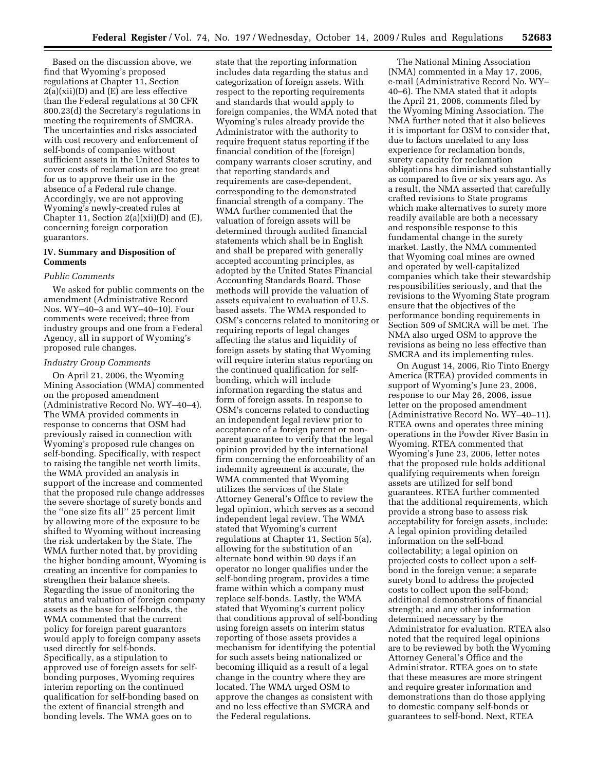Based on the discussion above, we find that Wyoming's proposed regulations at Chapter 11, Section  $2(a)(xii)(D)$  and  $(E)$  are less effective than the Federal regulations at 30 CFR 800.23(d) the Secretary's regulations in meeting the requirements of SMCRA. The uncertainties and risks associated with cost recovery and enforcement of self-bonds of companies without sufficient assets in the United States to cover costs of reclamation are too great for us to approve their use in the absence of a Federal rule change. Accordingly, we are not approving Wyoming's newly-created rules at Chapter 11, Section 2(a)(xii)(D) and (E), concerning foreign corporation guarantors.

# **IV. Summary and Disposition of Comments**

#### *Public Comments*

We asked for public comments on the amendment (Administrative Record Nos. WY–40–3 and WY–40–10). Four comments were received; three from industry groups and one from a Federal Agency, all in support of Wyoming's proposed rule changes.

#### *Industry Group Comments*

On April 21, 2006, the Wyoming Mining Association (WMA) commented on the proposed amendment (Administrative Record No. WY–40–4). The WMA provided comments in response to concerns that OSM had previously raised in connection with Wyoming's proposed rule changes on self-bonding. Specifically, with respect to raising the tangible net worth limits, the WMA provided an analysis in support of the increase and commented that the proposed rule change addresses the severe shortage of surety bonds and the ''one size fits all'' 25 percent limit by allowing more of the exposure to be shifted to Wyoming without increasing the risk undertaken by the State. The WMA further noted that, by providing the higher bonding amount, Wyoming is creating an incentive for companies to strengthen their balance sheets. Regarding the issue of monitoring the status and valuation of foreign company assets as the base for self-bonds, the WMA commented that the current policy for foreign parent guarantors would apply to foreign company assets used directly for self-bonds. Specifically, as a stipulation to approved use of foreign assets for selfbonding purposes, Wyoming requires interim reporting on the continued qualification for self-bonding based on the extent of financial strength and bonding levels. The WMA goes on to

state that the reporting information includes data regarding the status and categorization of foreign assets. With respect to the reporting requirements and standards that would apply to foreign companies, the WMA noted that Wyoming's rules already provide the Administrator with the authority to require frequent status reporting if the financial condition of the [foreign] company warrants closer scrutiny, and that reporting standards and requirements are case-dependent, corresponding to the demonstrated financial strength of a company. The WMA further commented that the valuation of foreign assets will be determined through audited financial statements which shall be in English and shall be prepared with generally accepted accounting principles, as adopted by the United States Financial Accounting Standards Board. Those methods will provide the valuation of assets equivalent to evaluation of U.S. based assets. The WMA responded to OSM's concerns related to monitoring or requiring reports of legal changes affecting the status and liquidity of foreign assets by stating that Wyoming will require interim status reporting on the continued qualification for selfbonding, which will include information regarding the status and form of foreign assets. In response to OSM's concerns related to conducting an independent legal review prior to acceptance of a foreign parent or nonparent guarantee to verify that the legal opinion provided by the international firm concerning the enforceability of an indemnity agreement is accurate, the WMA commented that Wyoming utilizes the services of the State Attorney General's Office to review the legal opinion, which serves as a second independent legal review. The WMA stated that Wyoming's current regulations at Chapter 11, Section 5(a), allowing for the substitution of an alternate bond within 90 days if an operator no longer qualifies under the self-bonding program, provides a time frame within which a company must replace self-bonds. Lastly, the WMA stated that Wyoming's current policy that conditions approval of self-bonding using foreign assets on interim status reporting of those assets provides a mechanism for identifying the potential for such assets being nationalized or becoming illiquid as a result of a legal change in the country where they are located. The WMA urged OSM to approve the changes as consistent with and no less effective than SMCRA and the Federal regulations.

The National Mining Association (NMA) commented in a May 17, 2006, e-mail (Administrative Record No. WY– 40–6). The NMA stated that it adopts the April 21, 2006, comments filed by the Wyoming Mining Association. The NMA further noted that it also believes it is important for OSM to consider that, due to factors unrelated to any loss experience for reclamation bonds, surety capacity for reclamation obligations has diminished substantially as compared to five or six years ago. As a result, the NMA asserted that carefully crafted revisions to State programs which make alternatives to surety more readily available are both a necessary and responsible response to this fundamental change in the surety market. Lastly, the NMA commented that Wyoming coal mines are owned and operated by well-capitalized companies which take their stewardship responsibilities seriously, and that the revisions to the Wyoming State program ensure that the objectives of the performance bonding requirements in Section 509 of SMCRA will be met. The NMA also urged OSM to approve the revisions as being no less effective than SMCRA and its implementing rules.

On August 14, 2006, Rio Tinto Energy America (RTEA) provided comments in support of Wyoming's June 23, 2006, response to our May 26, 2006, issue letter on the proposed amendment (Administrative Record No. WY–40–11). RTEA owns and operates three mining operations in the Powder River Basin in Wyoming. RTEA commented that Wyoming's June 23, 2006, letter notes that the proposed rule holds additional qualifying requirements when foreign assets are utilized for self bond guarantees. RTEA further commented that the additional requirements, which provide a strong base to assess risk acceptability for foreign assets, include: A legal opinion providing detailed information on the self-bond collectability; a legal opinion on projected costs to collect upon a selfbond in the foreign venue; a separate surety bond to address the projected costs to collect upon the self-bond; additional demonstrations of financial strength; and any other information determined necessary by the Administrator for evaluation. RTEA also noted that the required legal opinions are to be reviewed by both the Wyoming Attorney General's Office and the Administrator. RTEA goes on to state that these measures are more stringent and require greater information and demonstrations than do those applying to domestic company self-bonds or guarantees to self-bond. Next, RTEA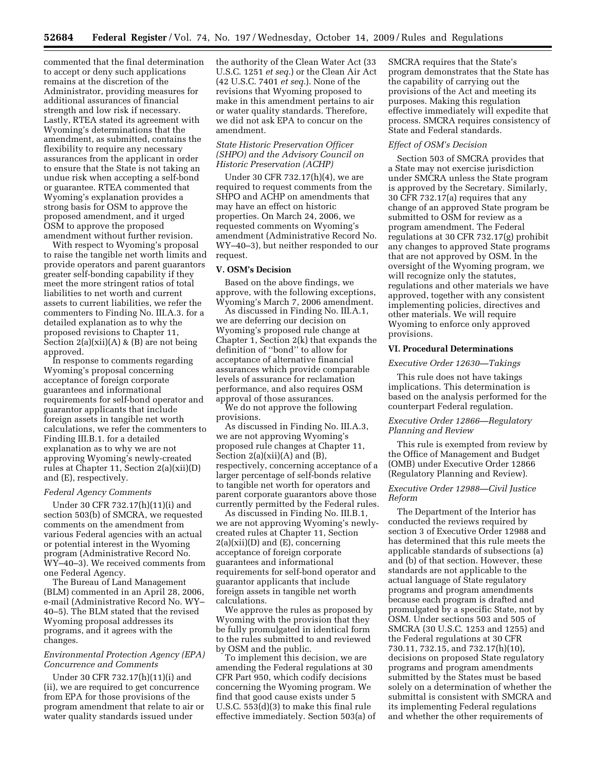commented that the final determination to accept or deny such applications remains at the discretion of the Administrator, providing measures for additional assurances of financial strength and low risk if necessary. Lastly, RTEA stated its agreement with Wyoming's determinations that the amendment, as submitted, contains the flexibility to require any necessary assurances from the applicant in order to ensure that the State is not taking an undue risk when accepting a self-bond or guarantee. RTEA commented that Wyoming's explanation provides a strong basis for OSM to approve the proposed amendment, and it urged OSM to approve the proposed amendment without further revision.

With respect to Wyoming's proposal to raise the tangible net worth limits and provide operators and parent guarantors greater self-bonding capability if they meet the more stringent ratios of total liabilities to net worth and current assets to current liabilities, we refer the commenters to Finding No. III.A.3. for a detailed explanation as to why the proposed revisions to Chapter 11, Section  $2(a)(xii)(A)$  &  $(B)$  are not being approved.

In response to comments regarding Wyoming's proposal concerning acceptance of foreign corporate guarantees and informational requirements for self-bond operator and guarantor applicants that include foreign assets in tangible net worth calculations, we refer the commenters to Finding III.B.1. for a detailed explanation as to why we are not approving Wyoming's newly-created rules at Chapter 11, Section 2(a)(xii)(D) and (E), respectively.

#### *Federal Agency Comments*

Under 30 CFR 732.17(h)(11)(i) and section 503(b) of SMCRA, we requested comments on the amendment from various Federal agencies with an actual or potential interest in the Wyoming program (Administrative Record No. WY–40–3). We received comments from one Federal Agency.

The Bureau of Land Management (BLM) commented in an April 28, 2006, e-mail (Administrative Record No. WY– 40–5). The BLM stated that the revised Wyoming proposal addresses its programs, and it agrees with the changes.

### *Environmental Protection Agency (EPA) Concurrence and Comments*

Under 30 CFR 732.17(h)(11)(i) and (ii), we are required to get concurrence from EPA for those provisions of the program amendment that relate to air or water quality standards issued under

the authority of the Clean Water Act (33 U.S.C. 1251 *et seq.*) or the Clean Air Act (42 U.S.C. 7401 *et seq.*). None of the revisions that Wyoming proposed to make in this amendment pertains to air or water quality standards. Therefore, we did not ask EPA to concur on the amendment.

# *State Historic Preservation Officer (SHPO) and the Advisory Council on Historic Preservation (ACHP)*

Under 30 CFR 732.17(h)(4), we are required to request comments from the SHPO and ACHP on amendments that may have an effect on historic properties. On March 24, 2006, we requested comments on Wyoming's amendment (Administrative Record No. WY–40–3), but neither responded to our request.

#### **V. OSM's Decision**

Based on the above findings, we approve, with the following exceptions, Wyoming's March 7, 2006 amendment.

As discussed in Finding No. III.A.1, we are deferring our decision on Wyoming's proposed rule change at Chapter 1, Section 2(k) that expands the definition of ''bond'' to allow for acceptance of alternative financial assurances which provide comparable levels of assurance for reclamation performance, and also requires OSM approval of those assurances.

We do not approve the following provisions.

As discussed in Finding No. III.A.3, we are not approving Wyoming's proposed rule changes at Chapter 11, Section 2(a)(xii)(A) and (B), respectively, concerning acceptance of a larger percentage of self-bonds relative to tangible net worth for operators and parent corporate guarantors above those currently permitted by the Federal rules.

As discussed in Finding No. III.B.1, we are not approving Wyoming's newlycreated rules at Chapter 11, Section  $2(a)(xii)(D)$  and  $(E)$ , concerning acceptance of foreign corporate guarantees and informational requirements for self-bond operator and guarantor applicants that include foreign assets in tangible net worth calculations.

We approve the rules as proposed by Wyoming with the provision that they be fully promulgated in identical form to the rules submitted to and reviewed by OSM and the public.

To implement this decision, we are amending the Federal regulations at 30 CFR Part 950, which codify decisions concerning the Wyoming program. We find that good cause exists under 5 U.S.C. 553(d)(3) to make this final rule effective immediately. Section 503(a) of SMCRA requires that the State's program demonstrates that the State has the capability of carrying out the provisions of the Act and meeting its purposes. Making this regulation effective immediately will expedite that process. SMCRA requires consistency of State and Federal standards.

#### *Effect of OSM's Decision*

Section 503 of SMCRA provides that a State may not exercise jurisdiction under SMCRA unless the State program is approved by the Secretary. Similarly, 30 CFR 732.17(a) requires that any change of an approved State program be submitted to OSM for review as a program amendment. The Federal regulations at 30 CFR 732.17(g) prohibit any changes to approved State programs that are not approved by OSM. In the oversight of the Wyoming program, we will recognize only the statutes, regulations and other materials we have approved, together with any consistent implementing policies, directives and other materials. We will require Wyoming to enforce only approved provisions.

### **VI. Procedural Determinations**

#### *Executive Order 12630—Takings*

This rule does not have takings implications. This determination is based on the analysis performed for the counterpart Federal regulation.

# *Executive Order 12866—Regulatory Planning and Review*

This rule is exempted from review by the Office of Management and Budget (OMB) under Executive Order 12866 (Regulatory Planning and Review).

### *Executive Order 12988—Civil Justice Reform*

The Department of the Interior has conducted the reviews required by section 3 of Executive Order 12988 and has determined that this rule meets the applicable standards of subsections (a) and (b) of that section. However, these standards are not applicable to the actual language of State regulatory programs and program amendments because each program is drafted and promulgated by a specific State, not by OSM. Under sections 503 and 505 of SMCRA (30 U.S.C. 1253 and 1255) and the Federal regulations at 30 CFR 730.11, 732.15, and 732.17(h)(10), decisions on proposed State regulatory programs and program amendments submitted by the States must be based solely on a determination of whether the submittal is consistent with SMCRA and its implementing Federal regulations and whether the other requirements of